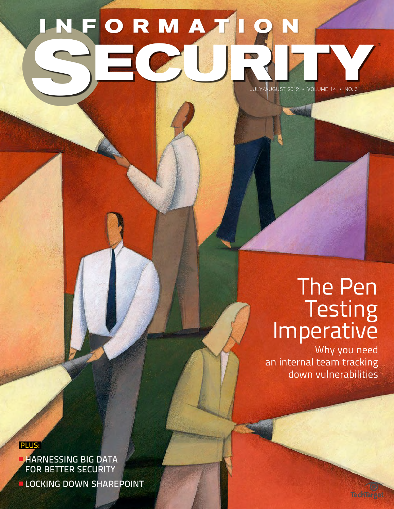### july/August 2012 • Volume 14 • No. 6 ® **INFORMATION SECURITY**

# [The Pen](#page--1-0)  Testing<br>Imperative

[Why you need](#page--1-0)  [an internal team tracking](#page--1-0)  [down vulnerabilities](#page--1-0)

**TechTarget** 

**PLUS:** 

**HARNESSING BIG DATA** FOR BETTER SECURITY

**LOCKING DOWN SHAREPOINT**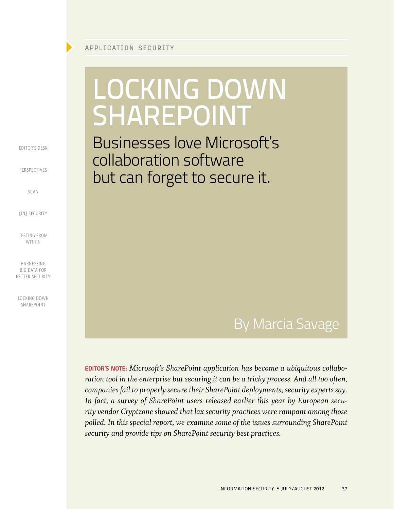## <span id="page-1-0"></span>Locking Down **SHAREPOINT**

Businesses love Microsoft's collaboration software but can forget to secure it.

### By Marcia Savage

**EDITOR'S NOTE:** Microsoft's SharePoint application has become a ubiquitous collabo*ration tool in the enterprise but securing it can be a tricky process. And all too often, companies fail to properly secure their SharePoint deployments, security experts say. In fact, a survey of SharePoint users released earlier this year by European security vendor Cryptzone showed that lax security practices were rampant among those polled. In this special report, we examine some of the issues surrounding SharePoint security and provide tips on SharePoint security best practices.*

[EDITOR'S DESK](#page--1-0)

[PERSPECTIVES](#page--1-0)

[SCAN](#page--1-0)

*FINT SECURITY* 

[Testing from](#page--1-0) [Within](#page--1-0)

[Harnessing](#page--1-0)  [Big Data for](#page--1-0) BETTER SECURITY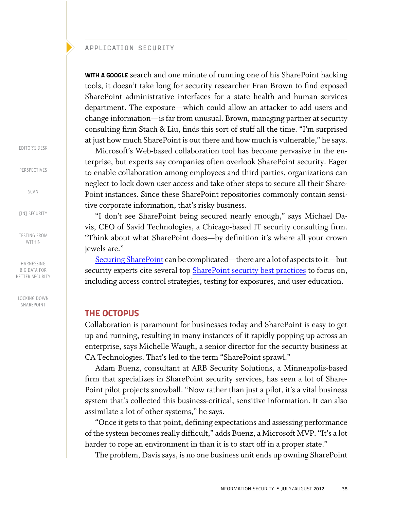WITH A GOOGLE search and one minute of running one of his SharePoint hacking tools, it doesn't take long for security researcher Fran Brown to find exposed SharePoint administrative interfaces for a state health and human services department. The exposure—which could allow an attacker to add users and change information—is far from unusual. Brown, managing partner at security consulting firm Stach & Liu, finds this sort of stuff all the time. "I'm surprised at just how much SharePoint is out there and how much is vulnerable," he says.

Microsoft's Web-based collaboration tool has become pervasive in the enterprise, but experts say companies often overlook SharePoint security. Eager to enable collaboration among employees and third parties, organizations can neglect to lock down user access and take other steps to secure all their Share-Point instances. Since these SharePoint repositories commonly contain sensitive corporate information, that's risky business.

"I don't see SharePoint being secured nearly enough," says Michael Davis, CEO of Savid Technologies, a Chicago-based IT security consulting firm. "Think about what SharePoint does—by definition it's where all your crown jewels are."

[Securing SharePoint](http://searchsecurity.techtarget.co.uk/news/2240114292/Survey-sheds-light-on-SharePoint-security-concerns) can be complicated—there are a lot of aspects to it—but security experts cite several top **SharePoint security best practices** to focus on, including access control strategies, testing for exposures, and user education.

### THE OCTOPUS

Collaboration is paramount for businesses today and SharePoint is easy to get up and running, resulting in many instances of it rapidly popping up across an enterprise, says Michelle Waugh, a senior director for the security business at CA Technologies. That's led to the term "SharePoint sprawl."

Adam Buenz, consultant at ARB Security Solutions, a Minneapolis-based firm that specializes in SharePoint security services, has seen a lot of Share-Point pilot projects snowball. "Now rather than just a pilot, it's a vital business system that's collected this business-critical, sensitive information. It can also assimilate a lot of other systems," he says.

"Once it gets to that point, defining expectations and assessing performance of the system becomes really difficult," adds Buenz, a Microsoft MVP. "It's a lot harder to rope an environment in than it is to start off in a proper state."

The problem, Davis says, is no one business unit ends up owning SharePoint

[EDITOR'S DESK](#page--1-0)

[PERSPECTIVES](#page--1-0)

[SCAN](#page--1-0)

[IN] SECURITY

[Testing from](#page--1-0) [Within](#page--1-0)

[Harnessing](#page--1-0)  [Big Data for](#page--1-0) BETTER SECURITY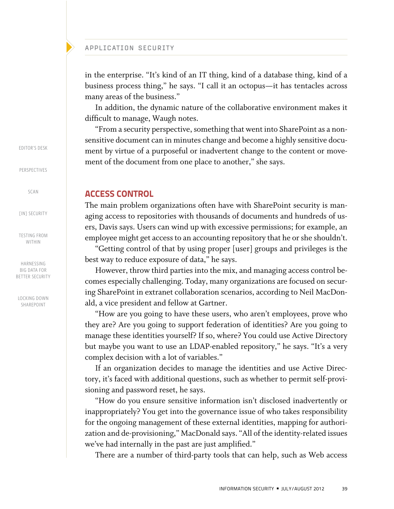in the enterprise. "It's kind of an IT thing, kind of a database thing, kind of a business process thing," he says. "I call it an octopus—it has tentacles across many areas of the business."

In addition, the dynamic nature of the collaborative environment makes it difficult to manage, Waugh notes.

"From a security perspective, something that went into SharePoint as a nonsensitive document can in minutes change and become a highly sensitive document by virtue of a purposeful or inadvertent change to the content or movement of the document from one place to another," she says.

### ACCESS CONTROL

The main problem organizations often have with SharePoint security is managing access to repositories with thousands of documents and hundreds of users, Davis says. Users can wind up with excessive permissions; for example, an employee might get access to an accounting repository that he or she shouldn't.

"Getting control of that by using proper [user] groups and privileges is the best way to reduce exposure of data," he says.

However, throw third parties into the mix, and managing access control becomes especially challenging. Today, many organizations are focused on securing SharePoint in extranet collaboration scenarios, according to Neil MacDonald, a vice president and fellow at Gartner.

"How are you going to have these users, who aren't employees, prove who they are? Are you going to support federation of identities? Are you going to manage these identities yourself? If so, where? You could use Active Directory but maybe you want to use an LDAP-enabled repository," he says. "It's a very complex decision with a lot of variables."

If an organization decides to manage the identities and use Active Directory, it's faced with additional questions, such as whether to permit self-provisioning and password reset, he says.

"How do you ensure sensitive information isn't disclosed inadvertently or inappropriately? You get into the governance issue of who takes responsibility for the ongoing management of these external identities, mapping for authorization and de-provisioning," MacDonald says. "All of the identity-related issues we've had internally in the past are just amplified."

There are a number of third-party tools that can help, such as Web access

[EDITOR'S DESK](#page--1-0)

[PERSPECTIVES](#page--1-0)

[SCAN](#page--1-0)

[IN] SECURITY

[Testing from](#page--1-0) [Within](#page--1-0)

[Harnessing](#page--1-0)  [Big Data for](#page--1-0) BETTER SECURITY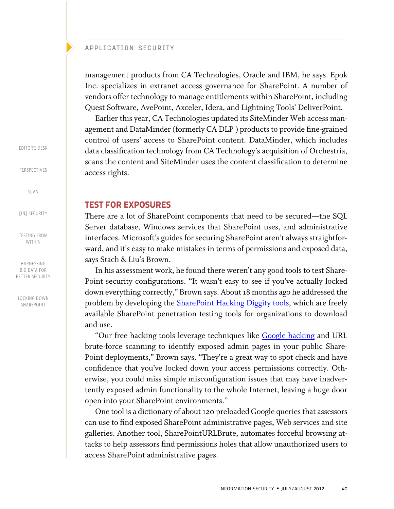management products from CA Technologies, Oracle and IBM, he says. Epok Inc. specializes in extranet access governance for SharePoint. A number of vendors offer technology to manage entitlements within SharePoint, including Quest Software, AvePoint, Axceler, Idera, and Lightning Tools' DeliverPoint.

Earlier this year, CA Technologies updated its SiteMinder Web access management and DataMinder (formerly CA DLP ) products to provide fine-grained control of users' access to SharePoint content. DataMinder, which includes data classification technology from CA Technology's acquisition of Orchestria, scans the content and SiteMinder uses the content classification to determine access rights.

### TEST FOR EXPOSURES

There are a lot of SharePoint components that need to be secured—the SQL Server database, Windows services that SharePoint uses, and administrative interfaces. Microsoft's guides for securing SharePoint aren't always straightforward, and it's easy to make mistakes in terms of permissions and exposed data, says Stach & Liu's Brown.

In his assessment work, he found there weren't any good tools to test Share-Point security configurations. "It wasn't easy to see if you've actually locked down everything correctly," Brown says. About 18 months ago he addressed the problem by developing the **[SharePoint Hacking Diggity tools](http://www.stachliu.com/resources/tools/sharepoint-hacking-diggity-project/)**, which are freely available SharePoint penetration testing tools for organizations to download and use.

"Our free hacking tools leverage techniques like [Google hacking](http://searchsecurity.techtarget.com/definition/Google-hacking) and URL brute-force scanning to identify exposed admin pages in your public Share-Point deployments," Brown says. "They're a great way to spot check and have confidence that you've locked down your access permissions correctly. Otherwise, you could miss simple misconfiguration issues that may have inadvertently exposed admin functionality to the whole Internet, leaving a huge door open into your SharePoint environments."

One tool is a dictionary of about 120 preloaded Google queries that assessors can use to find exposed SharePoint administrative pages, Web services and site galleries. Another tool, SharePointURLBrute, automates forceful browsing attacks to help assessors find permissions holes that allow unauthorized users to access SharePoint administrative pages.

[EDITOR'S DESK](#page--1-0)

[PERSPECTIVES](#page--1-0)

[SCAN](#page--1-0)

[IN] SECURITY

[Testing from](#page--1-0) [Within](#page--1-0)

[Harnessing](#page--1-0)  [Big Data for](#page--1-0) BETTER SECURITY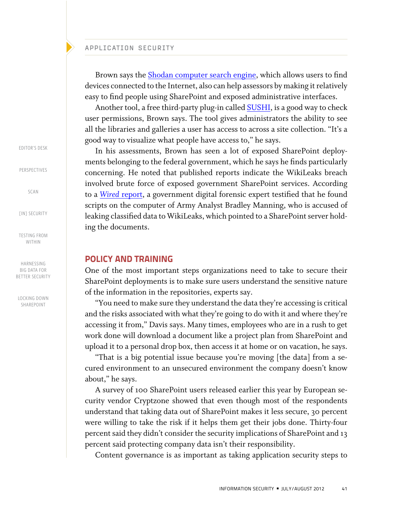Brown says the [Shodan computer search engine,](http://www.shodanhq.com/) which allows users to find devices connected to the Internet, also can help assessors by making it relatively easy to find people using SharePoint and exposed administrative interfaces.

Another tool, a free third-party plug-in called **SUSHI**, is a good way to check user permissions, Brown says. The tool gives administrators the ability to see all the libraries and galleries a user has access to across a site collection. "It's a good way to visualize what people have access to," he says.

In his assessments, Brown has seen a lot of exposed SharePoint deployments belonging to the federal government, which he says he finds particularly concerning. He noted that published reports indicate the WikiLeaks breach involved brute force of exposed government SharePoint services. According to a *Wired* [report](http://www.wired.com/threatlevel/2011/12/cables-scripts-manning/), a government digital forensic expert testified that he found scripts on the computer of Army Analyst Bradley Manning, who is accused of leaking classified data to WikiLeaks, which pointed to a SharePoint server holding the documents.

### POLICY AND TRAINING

One of the most important steps organizations need to take to secure their SharePoint deployments is to make sure users understand the sensitive nature of the information in the repositories, experts say.

"You need to make sure they understand the data they're accessing is critical and the risks associated with what they're going to do with it and where they're accessing it from," Davis says. Many times, employees who are in a rush to get work done will download a document like a project plan from SharePoint and upload it to a personal drop box, then access it at home or on vacation, he says.

"That is a big potential issue because you're moving [the data] from a secured environment to an unsecured environment the company doesn't know about," he says.

A survey of 100 SharePoint users released earlier this year by European security vendor Cryptzone showed that even though most of the respondents understand that taking data out of SharePoint makes it less secure, 30 percent were willing to take the risk if it helps them get their jobs done. Thirty-four percent said they didn't consider the security implications of SharePoint and 13 percent said protecting company data isn't their responsibility.

Content governance is as important as taking application security steps to

[EDITOR'S DESK](#page--1-0)

[PERSPECTIVES](#page--1-0)

[SCAN](#page--1-0)

[IN] SECURITY

[Testing from](#page--1-0) [Within](#page--1-0)

[Harnessing](#page--1-0)  [Big Data for](#page--1-0) BETTER SECURITY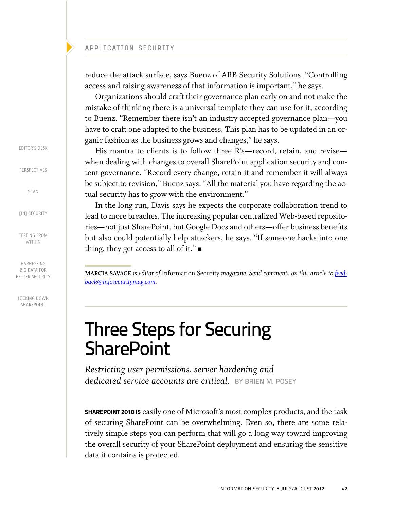reduce the attack surface, says Buenz of ARB Security Solutions. "Controlling access and raising awareness of that information is important," he says.

Organizations should craft their governance plan early on and not make the mistake of thinking there is a universal template they can use for it, according to Buenz. "Remember there isn't an industry accepted governance plan—you have to craft one adapted to the business. This plan has to be updated in an organic fashion as the business grows and changes," he says.

His mantra to clients is to follow three R's—record, retain, and revise when dealing with changes to overall SharePoint application security and content governance. "Record every change, retain it and remember it will always be subject to revision," Buenz says. "All the material you have regarding the actual security has to grow with the environment."

In the long run, Davis says he expects the corporate collaboration trend to lead to more breaches. The increasing popular centralized Web-based repositories—not just SharePoint, but Google Docs and others—offer business benefits but also could potentially help attackers, he says. "If someone hacks into one thing, they get access to all of it."

**Marcia Savage** *is editor of* Information Security *magazine. Send comments on this article to [feed](mailto:feedback@infosecuritymag.com)[back@infosecuritymag.com.](mailto:feedback@infosecuritymag.com)*

### Three Steps for Securing **SharePoint**

*Restricting user permissions, server hardening and dedicated service accounts are critical.* BY brien M. posey

**SHAREPOINT 2010 IS** easily one of Microsoft's most complex products, and the task of securing SharePoint can be overwhelming. Even so, there are some relatively simple steps you can perform that will go a long way toward improving the overall security of your SharePoint deployment and ensuring the sensitive data it contains is protected.

[EDITOR'S DESK](#page--1-0)

[PERSPECTIVES](#page--1-0)

[SCAN](#page--1-0)

[IN] SECURITY

[Testing from](#page--1-0) [Within](#page--1-0)

[Harnessing](#page--1-0)  [Big Data for](#page--1-0) BETTER SECURITY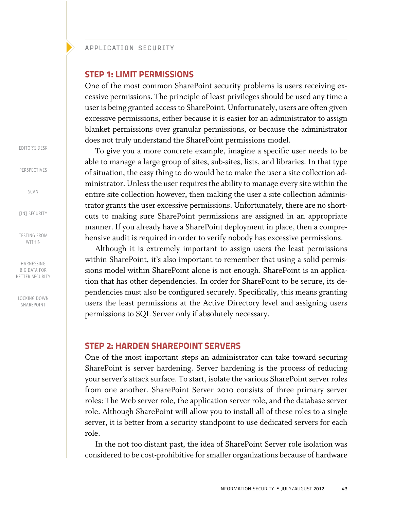### STEP 1: LIMIT PERMISSIONS

One of the most common SharePoint security problems is users receiving excessive permissions. The principle of least privileges should be used any time a user is being granted access to SharePoint. Unfortunately, users are often given excessive permissions, either because it is easier for an administrator to assign blanket permissions over granular permissions, or because the administrator does not truly understand the SharePoint permissions model.

To give you a more concrete example, imagine a specific user needs to be able to manage a large group of sites, sub-sites, lists, and libraries. In that type of situation, the easy thing to do would be to make the user a site collection administrator. Unless the user requires the ability to manage every site within the entire site collection however, then making the user a site collection administrator grants the user excessive permissions. Unfortunately, there are no shortcuts to making sure SharePoint permissions are assigned in an appropriate manner. If you already have a SharePoint deployment in place, then a comprehensive audit is required in order to verify nobody has excessive permissions.

Although it is extremely important to assign users the least permissions within SharePoint, it's also important to remember that using a solid permissions model within SharePoint alone is not enough. SharePoint is an application that has other dependencies. In order for SharePoint to be secure, its dependencies must also be configured securely. Specifically, this means granting users the least permissions at the Active Directory level and assigning users permissions to SQL Server only if absolutely necessary.

### STEP 2: HARDEN SHAREPOINT SERVERS

One of the most important steps an administrator can take toward securing SharePoint is server hardening. Server hardening is the process of reducing your server's attack surface. To start, isolate the various SharePoint server roles from one another. SharePoint Server 2010 consists of three primary server roles: The Web server role, the application server role, and the database server role. Although SharePoint will allow you to install all of these roles to a single server, it is better from a security standpoint to use dedicated servers for each role.

In the not too distant past, the idea of SharePoint Server role isolation was considered to be cost-prohibitive for smaller organizations because of hardware

[EDITOR'S DESK](#page--1-0)

[PERSPECTIVES](#page--1-0)

[SCAN](#page--1-0)

[IN] SECURITY

[Testing from](#page--1-0) [Within](#page--1-0)

[Harnessing](#page--1-0)  [Big Data for](#page--1-0) BETTER SECURITY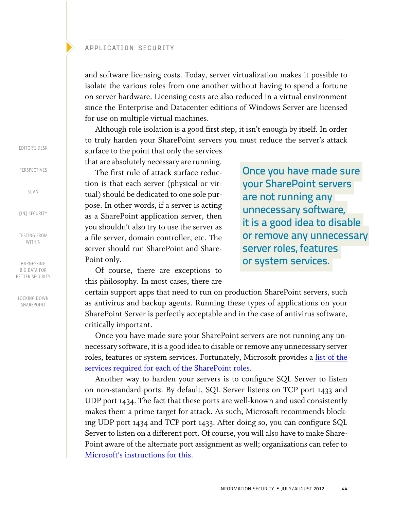and software licensing costs. Today, server virtualization makes it possible to isolate the various roles from one another without having to spend a fortune on server hardware. Licensing costs are also reduced in a virtual environment since the Enterprise and Datacenter editions of Windows Server are licensed for use on multiple virtual machines.

Although role isolation is a good first step, it isn't enough by itself. In order to truly harden your SharePoint servers you must reduce the server's attack

surface to the point that only the services that are absolutely necessary are running.

The first rule of attack surface reduction is that each server (physical or virtual) should be dedicated to one sole purpose. In other words, if a server is acting as a SharePoint application server, then you shouldn't also try to use the server as a file server, domain controller, etc. The server should run SharePoint and Share-Point only.

Once you have made sure your SharePoint servers are not running any unnecessary software, it is a good idea to disable or remove any unnecessary server roles, features or system services.

Of course, there are exceptions to this philosophy. In most cases, there are

certain support apps that need to run on production SharePoint servers, such as antivirus and backup agents. Running these types of applications on your SharePoint Server is perfectly acceptable and in the case of antivirus software, critically important.

Once you have made sure your SharePoint servers are not running any unnecessary software, it is a good idea to disable or remove any unnecessary server roles, features or system services. Fortunately, Microsoft provides a [list of the](http://technet.microsoft.com/en-us/library/cc262849.aspx)  [services required for each of the SharePoint roles](http://technet.microsoft.com/en-us/library/cc262849.aspx).

Another way to harden your servers is to configure SQL Server to listen on non-standard ports. By default, SQL Server listens on TCP port 1433 and UDP port 1434. The fact that these ports are well-known and used consistently makes them a prime target for attack. As such, Microsoft recommends blocking UDP port 1434 and TCP port 1433. After doing so, you can configure SQL Server to listen on a different port. Of course, you will also have to make Share-Point aware of the alternate port assignment as well; organizations can refer to [Microsoft's instructions for this.](http://technet.microsoft.com/en-us/library/ff607733.aspx)

[EDITOR'S DESK](#page--1-0)

[PERSPECTIVES](#page--1-0)

[SCAN](#page--1-0)

**FINT SECURITY** 

[Testing from](#page--1-0) [Within](#page--1-0)

[Harnessing](#page--1-0)  [Big Data for](#page--1-0) BETTER SECURITY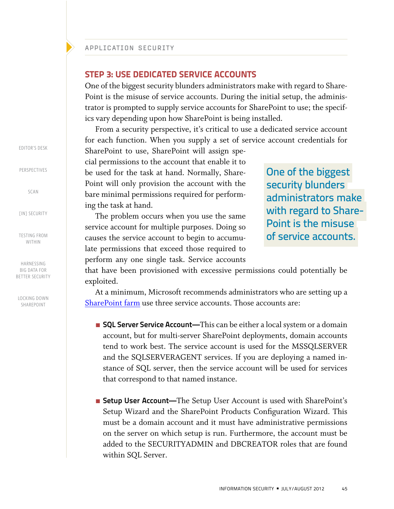### STEP 3: USE DEDICATED SERVICE ACCOUNTS

One of the biggest security blunders administrators make with regard to Share-Point is the misuse of service accounts. During the initial setup, the administrator is prompted to supply service accounts for SharePoint to use; the specifics vary depending upon how SharePoint is being installed.

From a security perspective, it's critical to use a dedicated service account for each function. When you supply a set of service account credentials for

SharePoint to use, SharePoint will assign special permissions to the account that enable it to be used for the task at hand. Normally, Share-Point will only provision the account with the bare minimal permissions required for performing the task at hand.

The problem occurs when you use the same service account for multiple purposes. Doing so causes the service account to begin to accumulate permissions that exceed those required to perform any one single task. Service accounts

One of the biggest security blunders administrators make with regard to Share-Point is the misuse of service accounts.

that have been provisioned with excessive permissions could potentially be exploited.

At a minimum, Microsoft recommends administrators who are setting up a [SharePoint farm](http://searchcontentmanagement.techtarget.com/definition/What-is-a-SharePoint-farm) use three service accounts. Those accounts are:

- SQL Server Service Account—This can be either a local system or a domain account, but for multi-server SharePoint deployments, domain accounts tend to work best. The service account is used for the MSSQLSERVER and the SQLSERVERAGENT services. If you are deploying a named instance of SQL server, then the service account will be used for services that correspond to that named instance.
- Setup User Account—The Setup User Account is used with SharePoint's Setup Wizard and the SharePoint Products Configuration Wizard. This must be a domain account and it must have administrative permissions on the server on which setup is run. Furthermore, the account must be added to the SECURITYADMIN and DBCREATOR roles that are found within SQL Server.

[EDITOR'S DESK](#page--1-0)

[PERSPECTIVES](#page--1-0)

[SCAN](#page--1-0)

**FINT SECURITY** 

[Testing from](#page--1-0) [Within](#page--1-0)

[Harnessing](#page--1-0)  [Big Data for](#page--1-0) BETTER SECURITY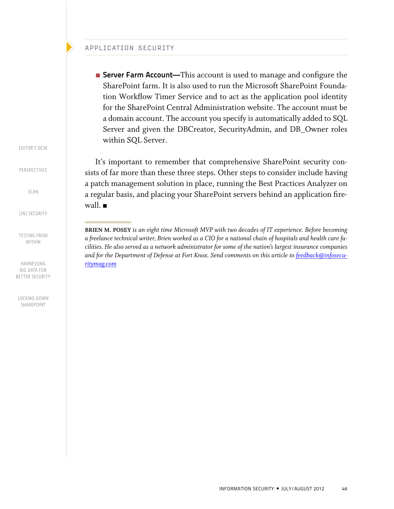■ Server Farm Account—This account is used to manage and configure the SharePoint farm. It is also used to run the Microsoft SharePoint Foundation Workflow Timer Service and to act as the application pool identity for the SharePoint Central Administration website. The account must be a domain account. The account you specify is automatically added to SQL Server and given the DBCreator, SecurityAdmin, and DB\_Owner roles within SQL Server.

It's important to remember that comprehensive SharePoint security consists of far more than these three steps. Other steps to consider include having a patch management solution in place, running the Best Practices Analyzer on a regular basis, and placing your SharePoint servers behind an application firewall.  $\blacksquare$ 

[EDITOR'S DESK](#page--1-0)

[PERSPECTIVES](#page--1-0)

[SCAN](#page--1-0)

[IN] SECURITY

[Testing from](#page--1-0) [Within](#page--1-0)

[Harnessing](#page--1-0)  BIG DATA FOR BETTER SECURITY

**Brien M. Posey** *is an eight time Microsoft MVP with two decades of IT experience. Before becoming a freelance technical writer, Brien worked as a CIO for a national chain of hospitals and health care facilities. He also served as a network administrator for some of the nation's largest insurance companies*  and for the Department of Defense at Fort Knox. Send comments on this article to [feedback@infosecu](mailto:feedback@infosecuritymag.com)*[ritymag.com](mailto:feedback@infosecuritymag.com)*